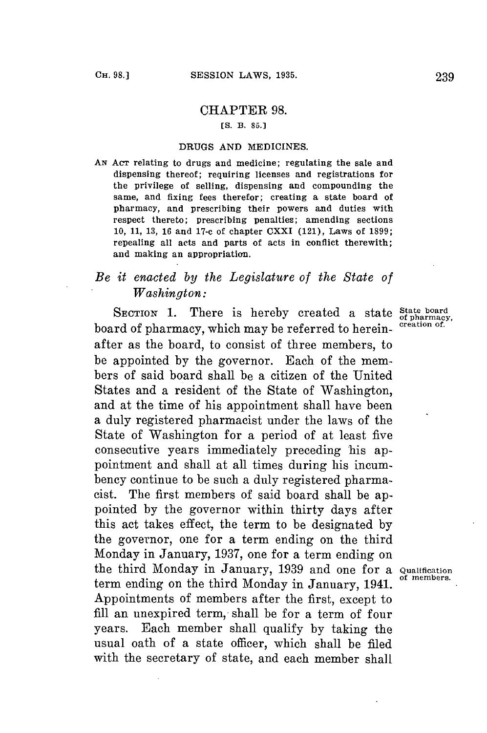## CHAPTER 98.

## *[S.* **B. 85.]**

## **DRUGS AND** MEDICINES.

**AN** AcT relating to drugs and medicine; regulating the sale and dispensing thereof; requiring licenses and registrations for the privilege of selling, dispensing and compounding the same, and fixing fees therefor; creating a state board of pharmacy, and prescribing their powers and duties with respect thereto; prescribing penalties; amending sections **10, 11, 13, 16** and 17-c of chapter CXXI (121), Laws of **1899;** repealing all acts and parts of acts in conflict therewith; and making an appropriation.

## *Be it enacted by the Legislature of the State of Washington:*

SECTION 1. There is hereby created a state  $\frac{\text{State board}}{\text{of pharmacy}}$ board of pharmacy, which may be referred to hereinafter as the board, to consist of three members, to be appointed **by** the governor. Each of the members of said board shall be a citizen of the United States and a resident of the State of Washington, and at the time of his appointment shall have been a duly registered pharmacist under the laws of the State of Washington for a period of at least five consecutive years immediately preceding his appointment and shall at all times during his incumbency continue to be such a duly registered pharmacist. The first members of said board shall be appointed **by** the governor within thirty days after this act takes effect, the term to be designated **by** the governor, one **for** a term ending on the third Monday in January, **1937,** one for a term ending on the third Monday in January, **1939** and one for a **Qualification** term ending on the third Monday in January, 1941. Appointments of members after the first, except to **fill** an unexpired term,- shall be for a term of four years. Each member shall qualify **by** taking the usual oath of a state officer, which shall be filed with the secretary of state, and each member shall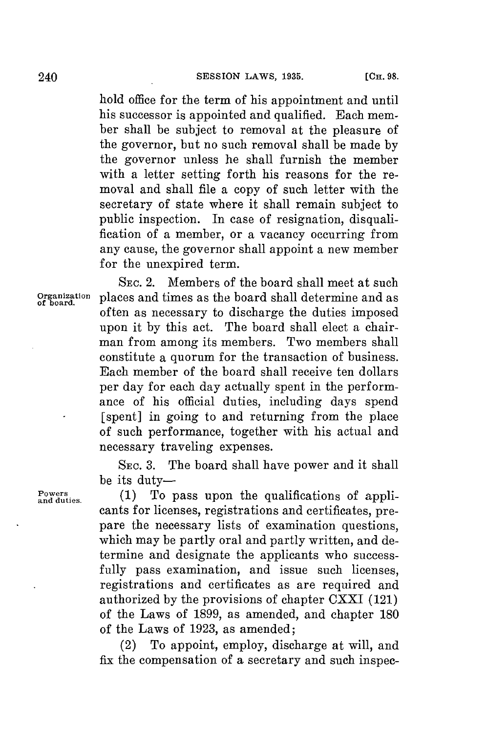hold office for the term of his appointment and until his successor is appointed and qualified. Each member shall be subject to removal at the pleasure of the governor, but no such removal shall be made **by** the governor unless he shall furnish the member with a letter setting forth his reasons for the removal and shall file a copy of such letter with the secretary of state where it shall remain subject to public inspection. In case of resignation, disqualification of a member, or a vacancy occurring from any cause, the governor shall appoint a new member for the unexpired term.

SEc. 2. Members of the board shall meet at such Organization places and times as the board shall determine and as often as necessary to discharge the duties imposed upon it **by** this act. The board shall elect a chairman from among its members. Two members shall constitute a quorum for the transaction of business. Each member of the board shall receive ten dollars per day for each day actually spent in the performance of his official duties, including days spend [spent] in going to and returning from the place of such performance, together with his actual and necessary traveling expenses.

> SEc. **3.** The board shall have power and it shall be its duty-

**Powers** (1) To pass upon the qualifications of applicants for licenses, registrations and certificates, prepare the necessary lists of examination questions, which may be partly oral and partly written, and determine and designate the applicants who successfully pass examination, and issue such licenses, registrations and certificates as are required and authorized **by** the provisions of chapter CXXI (121) of the Laws of **1899,** as amended, and chapter **180** of the Laws of **1923,** as amended;

> (2) To appoint, employ, discharge at will, and fix the compensation of a secretary and such inspec-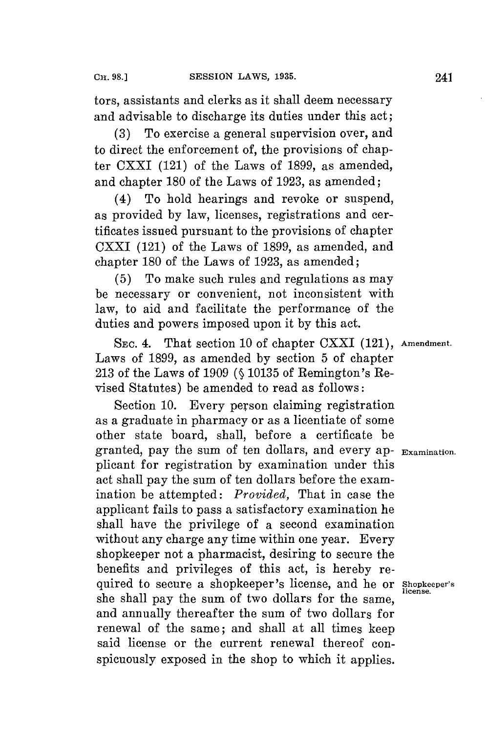tors, assistants and clerks as it shall deem necessary and advisable to discharge its duties under this act;

**(3)** To exercise a general supervision over, and to direct the enforcement of, the provisions of chapter CXXI (121) of the Laws of **1899,** as amended, and chapter **180** of the Laws of **1923,** as amended;

(4) To hold hearings and revoke or suspend, as provided **by** law, licenses, registrations and certificates issued pursuant to the provisions of chapter CXXI (121) of the Laws of **1899,** as amended, and chapter **180** of the Laws of **1923,** as amended;

**(5)** To make such rules and regulations as may be necessary or convenient, not inconsistent with law, to aid and facilitate the performance of the duties and powers imposed upon it **by** this act.

**SEC.** 4. That section **10** of chapter CXXI (121), **Amendment.** Laws of **1899,** as amended **by** section **5** of chapter **213** of the Laws of **1909 (§ 10135** of Remington's Revised Statutes) be amended to read as follows:

Section **10.** Every person claiming registration as a graduate in pharmacy or as a licentiate of some other state board, shall, before a certificate be granted, pay the sum of ten dollars, and every ap- **Examination.** plicant **for** registration **by** examination under this act shall pay the sum of ten dollars before the examination be attempted: *Provided,* That in case the applicant fails to pass a satisfactory examination he shall have the privilege of a second examination without any charge any time within one year. Every shopkeeper not a pharmacist, desiring to secure the benefits and privileges of this act, is hereby required to secure a shopkeeper's license, and he or **Shopkeeper's** she shall pay the sum of two dollars for the same, and annually thereafter the sum of two dollars **for** renewal of the same; and shall at all times keep said license or the current renewal thereof conspicuously exposed in the shop to which it applies.

**license.**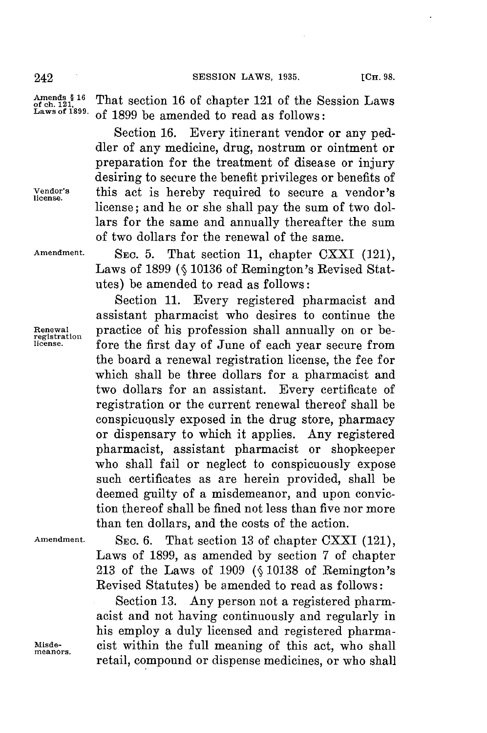242 **SESSION** LAWS, **1935. [CH. 98.**

Amends  $$16$  That section 16 of chapter 121 of the Session Laws<br>Laws of 1899, of 1900 by several discussed as follows **Laws of 1899.** of **1899** be amended to read as follows:

Section **16.** Every itinerant vendor or any peddler of any medicine, drug, nostrum or ointment or preparation for the treatment of disease or injury desiring to secure the benefit privileges or benefits of **Vendor's** this act is hereby required to secure a vendor's **license.** license; and he or she shall pay the sum of two dollars for the same and annually thereafter the sum of two dollars for the renewal of the same.

Amendment. SEC. 5. That section 11, chapter CXXI (121), Laws of **1899 (§ 10136** of Remington's Revised Statutes) be amended to read as follows:

Section **11.** Every registered pharmacist and assistant pharmacist who desires to continue the Renewal **practice of his profession shall annually on or be-**<br>registration **from** the first day of Inne of each year geome from fore the first day of June of each year secure from the board a renewal registration license, the fee for which shall be three dollars for a pharmacist and two dollars for an assistant. Every certificate of registration or the current renewal thereof shall **be** conspicuously exposed in the drug store, pharmacy or dispensary to which it applies. Any registered pharmacist, assistant pharmacist or shopkeeper who shall fail or neglect to conspicuously expose such certificates as are herein provided, shall be deemed guilty of a misdemeanor, and upon conviction thereof shall be fined not less than five nor more than ten dollars, and the costs of the action.

Amendment. SEC. 6. That section 13 of chapter CXXI (121), Laws of **1899,** as amended **by** section **7** of chapter **213** of the Laws of **1909 (§ 10138** of Remington's Revised Statutes) be amended to read as follows:

Section **13.** Any person not a registered pharmacist and not having continuously and regularly in his employ a duly licensed and registered pharma-**Misde-** cist within the full meaning of this act, who shall **meanors.** retail, compound or dispense medicines, or who shall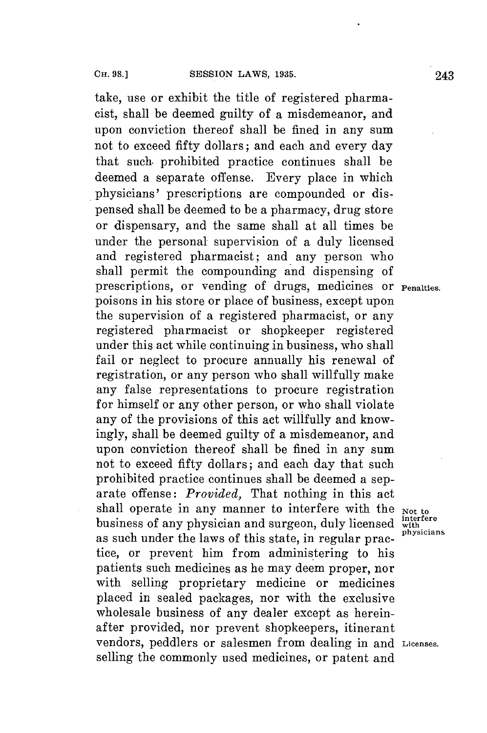take, use or exhibit the title of registered pharmacist, shall be deemed guilty of a misdemeanor, and upon conviction thereof shall be fined in any sum not to exceed fifty dollars; and each and every day that such prohibited practice continues shall be deemed a separate offense. Every place in which physicians' prescriptions are compounded or dispensed shall be deemed to be a pharmacy, drug store or dispensary, and the same shall at all times be under the personal supervision of a duly licensed and registered pharmacist; and any person who shall permit the compounding and dispensing of prescriptions, or vending of drugs, medicines or **Penalties.** poisons in his store or place of business, except upon the supervision of a registered pharmacist, or any registered pharmacist or shopkeeper registered under this act while continuing in business, who shall fail or neglect to procure annually his renewal of registration, or any person who shall willfully make any false representations to procure registration **for** himself or any other person, or who shall violate any of the provisions of this act willfully and know**ingly,** shall **be** deemed guilty of a misdemeanor, and upon conviction thereof shall be fined in any sum not to exceed fifty dollars; and each day that such prohibited practice continues shall be deemed a separate offense: *Provided,* That nothing in this act shall operate in any manner to interfere with the  $_{Not\ to}$   $_{h}$  interfere business of any physician and surgeon, duly licensed with physicians as such under the laws of this state, in regular practice, or prevent him from administering to his patients such medicines as he may deem proper, nor with selling proprietary medicine or medicines placed in sealed packages, nor with the exclusive wholesale business of any dealer except as hereinafter provided, nor prevent shopkeepers, itinerant vendors, peddlers or salesmen from dealing in and **Licenses.** selling the commonly used medicines, or patent and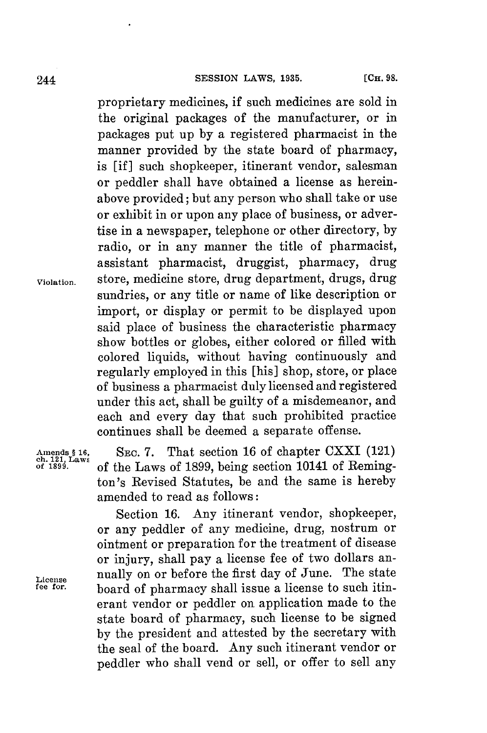proprietary medicines, if such medicines are sold in the original packages of the manufacturer, or in packages put up **by** a registered pharmacist in the manner provided **by** the state board of pharmacy, is [if] such shopkeeper, itinerant vendor, salesman or peddler shall have obtained a license as hereinabove provided; but any person who shall take or use or exhibit in or upon any place of business, or advertise in a newspaper, telephone or other directory, **by** radio, or in any manner the title of pharmacist, assistant pharmacist, druggist, pharmacy, drug **Violation.** store, medicine store, drug department, drugs, drug sundries, or any title or name of like description or import, or display or permit to be displayed upon said place of business the characteristic pharmacy show bottles or globes, either colored or filled with colored liquids, without having continuously and regularly employed in this [his] shop, store, or place of business a pharmacist duly licensed and registered under this act, shall be guilty of a misdemeanor, and each and every day that such prohibited practice continues shall be deemed a separate offense.

Amends § 16, SEC. 7. That section 16 of chapter CXXI (121)<br>
of 1899. **parts** of the Laws of 1899, being section 10141 of Reming**of 1896.** of the Laws of **1899,** being section 10141 of Remington's Revised Statutes, be and the same is hereby amended to read as follows:

Section **16.** Any itinerant vendor, shopkeeper, or any peddler of any medicine, drug, nostrum or ointment or preparation for the treatment of disease or injury, shall pay a license fee of two dollars an-License **nually on or before the first day of June.** The state fee for. **hence** of pharmacy shall issue a license to such itin. **fee for.** board of pharmacy shall issue a license to such itinerant vendor or peddler on application made to the state board of pharmacy, such license to be signed **by** the president and attested **by** the secretary with the seal of the board. Any such itinerant vendor or peddler who shall vend or sell, or offer to sell any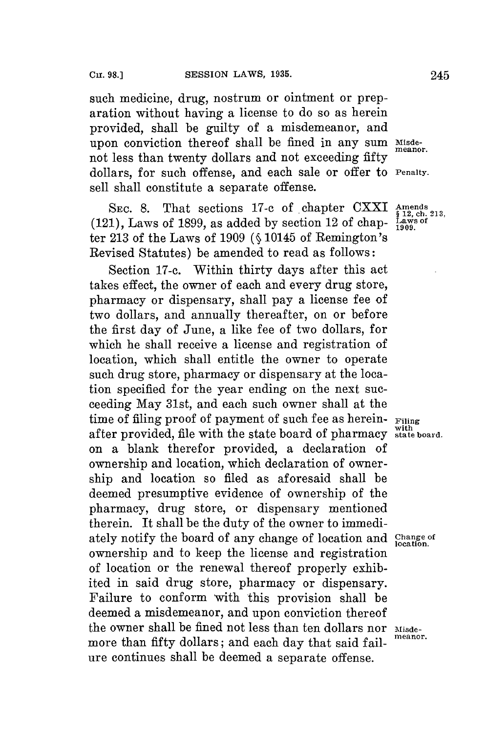such medicine, drug, nostrum or ointment or preparation without having a license to do so as herein provided, shall be guilty of a misdemeanor, and upon conviction thereof shall be fined in any sum Misdenot less than twenty dollars and not exceeding fifty dollars, for such offense, and each sale or offer to **Penalty.** sell shall constitute a separate offense.

SEC. 8. That sections 17-c of chapter CXXI Amends<br> **1)** Laws of 1899, as added by section 12 of chap-Laws of  $(121)$ , Laws of 1899, as added by section 12 of chapter **213** of the Laws of **1909 (§** 10145 of Remington's Revised Statutes) be amended to read as follows:

Section **17-c.** Within thirty days after this act takes effect, the owner of each and every drug store, pharmacy or dispensary, shall pay a license fee of two dollars, and annually thereafter, on or before the first day of June, a like **fee** of two dollars, for which he shall receive a license and registration of location, which shall entitle the owner to operate such drug store, pharmacy or dispensary at the location specified **for** the year ending on the next succeeding May 31st, and each such owner shall at the time of filing proof of payment of such **fee** as herein- **Filing** after provided, file with the state board of pharmacy state board. on a blank therefor provided, a declaration of ownership and location, which declaration of ownership and location so filed as aforesaid shall be deemed presumptive evidence of ownership of the pharmacy, drug store, or dispensary mentioned therein. It shall be the duty of the owner to immediately notify the board of any change of location and **Change of location.** ownership and to keep the license and registration of location or the renewal thereof properly exhibited in said drug store, pharmacy or dispensary. Failure to conform with this provision shall be deemed a misdemeanor, and upon conviction thereof the owner shall be fined not less than ten dollars nor **Misde**more than fifty dollars; and each day that said failure continues shall be deemed a separate offense.